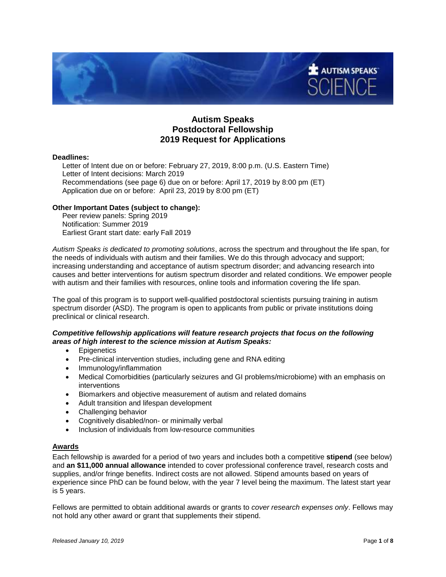

# **Autism Speaks Postdoctoral Fellowship 2019 Request for Applications**

#### **Deadlines:**

Letter of Intent due on or before: February 27, 2019, 8:00 p.m. (U.S. Eastern Time) Letter of Intent decisions: March 2019 Recommendations (see page 6) due on or before: April 17, 2019 by 8:00 pm (ET) Application due on or before: April 23, 2019 by 8:00 pm (ET)

#### **Other Important Dates (subject to change):**

Peer review panels: Spring 2019 Notification: Summer 2019 Earliest Grant start date: early Fall 2019

*Autism Speaks is dedicated to promoting solutions*, across the spectrum and throughout the life span, for the needs of individuals with autism and their families. We do this through advocacy and support; increasing understanding and acceptance of autism spectrum disorder; and advancing research into causes and better interventions for autism spectrum disorder and related conditions. We empower people with autism and their families with resources, online tools and information covering the life span.

The goal of this program is to support well-qualified postdoctoral scientists pursuing training in autism spectrum disorder (ASD). The program is open to applicants from public or private institutions doing preclinical or clinical research.

## *Competitive fellowship applications will feature research projects that focus on the following areas of high interest to the science mission at Autism Speaks:*

- Epigenetics
- Pre-clinical intervention studies, including gene and RNA editing
- Immunology/inflammation
- Medical Comorbidities (particularly seizures and GI problems/microbiome) with an emphasis on interventions
- Biomarkers and objective measurement of autism and related domains
- Adult transition and lifespan development
- Challenging behavior
- Cognitively disabled/non- or minimally verbal
- Inclusion of individuals from low-resource communities

## **Awards**

Each fellowship is awarded for a period of two years and includes both a competitive **stipend** (see below) and **an \$11,000 annual allowance** intended to cover professional conference travel, research costs and supplies, and/or fringe benefits. Indirect costs are not allowed. Stipend amounts based on years of experience since PhD can be found below, with the year 7 level being the maximum. The latest start year is 5 years.

Fellows are permitted to obtain additional awards or grants to *cover research expenses only*. Fellows may not hold any other award or grant that supplements their stipend.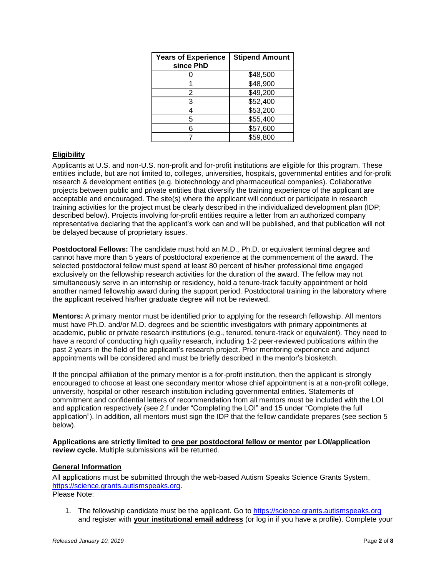| <b>Years of Experience</b><br>since PhD | <b>Stipend Amount</b> |
|-----------------------------------------|-----------------------|
|                                         | \$48,500              |
|                                         | \$48,900              |
| 2                                       | \$49,200              |
| З                                       | \$52,400              |
|                                         | \$53,200              |
| 5                                       | \$55,400              |
|                                         | \$57,600              |
|                                         | \$59,800              |

# **Eligibility**

Applicants at U.S. and non-U.S. non-profit and for-profit institutions are eligible for this program. These entities include, but are not limited to, colleges, universities, hospitals, governmental entities and for-profit research & development entities (e.g. biotechnology and pharmaceutical companies). Collaborative projects between public and private entities that diversify the training experience of the applicant are acceptable and encouraged. The site(s) where the applicant will conduct or participate in research training activities for the project must be clearly described in the individualized development plan (IDP; described below). Projects involving for-profit entities require a letter from an authorized company representative declaring that the applicant's work can and will be published, and that publication will not be delayed because of proprietary issues.

**Postdoctoral Fellows:** The candidate must hold an M.D., Ph.D. or equivalent terminal degree and cannot have more than 5 years of postdoctoral experience at the commencement of the award. The selected postdoctoral fellow must spend at least 80 percent of his/her professional time engaged exclusively on the fellowship research activities for the duration of the award. The fellow may not simultaneously serve in an internship or residency, hold a tenure-track faculty appointment or hold another named fellowship award during the support period. Postdoctoral training in the laboratory where the applicant received his/her graduate degree will not be reviewed.

**Mentors:** A primary mentor must be identified prior to applying for the research fellowship. All mentors must have Ph.D. and/or M.D. degrees and be scientific investigators with primary appointments at academic, public or private research institutions (e.g., tenured, tenure-track or equivalent). They need to have a record of conducting high quality research, including 1-2 peer-reviewed publications within the past 2 years in the field of the applicant's research project. Prior mentoring experience and adjunct appointments will be considered and must be briefly described in the mentor's biosketch.

If the principal affiliation of the primary mentor is a for-profit institution, then the applicant is strongly encouraged to choose at least one secondary mentor whose chief appointment is at a non-profit college, university, hospital or other research institution including governmental entities. Statements of commitment and confidential letters of recommendation from all mentors must be included with the LOI and application respectively (see 2.f under "Completing the LOI" and 15 under "Complete the full application"). In addition, all mentors must sign the IDP that the fellow candidate prepares (see section 5 below).

**Applications are strictly limited to one per postdoctoral fellow or mentor per LOI/application review cycle.** Multiple submissions will be returned.

## **General Information**

All applications must be submitted through the web-based Autism Speaks Science Grants System, [https://science.grants.autismspeaks.org.](https://science.grants.autismspeaks.org/) Please Note:

1. The fellowship candidate must be the applicant. Go to [https://science.grants.autismspeaks.org](https://science.grants.autismspeaks.org/) and register with **your institutional email address** (or log in if you have a profile). Complete your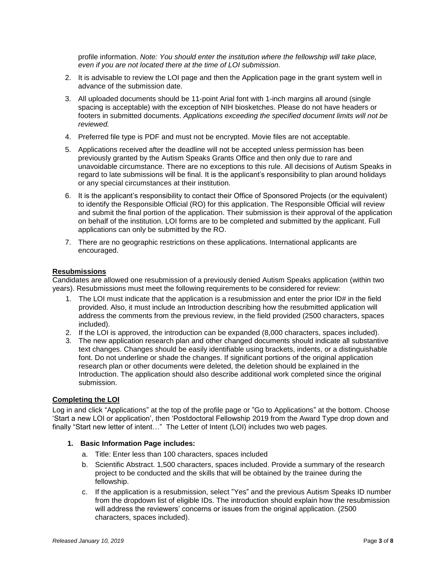profile information. *Note: You should enter the institution where the fellowship will take place, even if you are not located there at the time of LOI submission.*

- 2. It is advisable to review the LOI page and then the Application page in the grant system well in advance of the submission date.
- 3. All uploaded documents should be 11-point Arial font with 1-inch margins all around (single spacing is acceptable) with the exception of NIH biosketches. Please do not have headers or footers in submitted documents. *Applications exceeding the specified document limits will not be reviewed.*
- 4. Preferred file type is PDF and must not be encrypted. Movie files are not acceptable.
- 5. Applications received after the deadline will not be accepted unless permission has been previously granted by the Autism Speaks Grants Office and then only due to rare and unavoidable circumstance. There are no exceptions to this rule. All decisions of Autism Speaks in regard to late submissions will be final. It is the applicant's responsibility to plan around holidays or any special circumstances at their institution.
- 6. It is the applicant's responsibility to contact their Office of Sponsored Projects (or the equivalent) to identify the Responsible Official (RO) for this application. The Responsible Official will review and submit the final portion of the application. Their submission is their approval of the application on behalf of the institution. LOI forms are to be completed and submitted by the applicant. Full applications can only be submitted by the RO.
- 7. There are no geographic restrictions on these applications. International applicants are encouraged.

#### **Resubmissions**

Candidates are allowed one resubmission of a previously denied Autism Speaks application (within two years). Resubmissions must meet the following requirements to be considered for review:

- 1. The LOI must indicate that the application is a resubmission and enter the prior ID# in the field provided. Also, it must include an Introduction describing how the resubmitted application will address the comments from the previous review, in the field provided (2500 characters, spaces included).
- 2. If the LOI is approved, the introduction can be expanded (8,000 characters, spaces included).
- 3. The new application research plan and other changed documents should indicate all substantive text changes. Changes should be easily identifiable using brackets, indents, or a distinguishable font. Do not underline or shade the changes. If significant portions of the original application research plan or other documents were deleted, the deletion should be explained in the Introduction. The application should also describe additional work completed since the original submission.

#### **Completing the LOI**

Log in and click "Applications" at the top of the profile page or "Go to Applications" at the bottom. Choose 'Start a new LOI or application', then 'Postdoctoral Fellowship 2019 from the Award Type drop down and finally "Start new letter of intent..." The Letter of Intent (LOI) includes two web pages.

## **1. Basic Information Page includes:**

- a. Title: Enter less than 100 characters, spaces included
- b. Scientific Abstract. 1,500 characters, spaces included. Provide a summary of the research project to be conducted and the skills that will be obtained by the trainee during the fellowship.
- c. If the application is a resubmission, select "Yes" and the previous Autism Speaks ID number from the dropdown list of eligible IDs. The introduction should explain how the resubmission will address the reviewers' concerns or issues from the original application. (2500 characters, spaces included).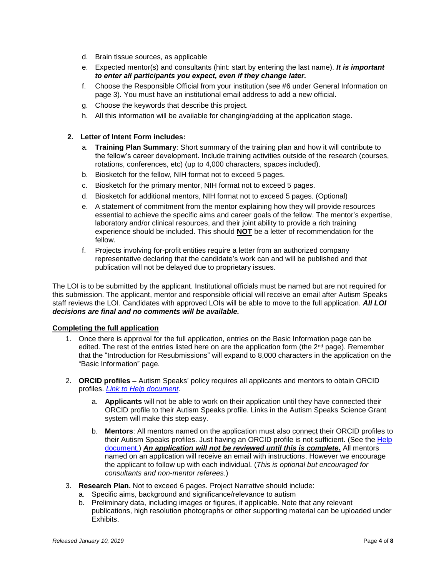- d. Brain tissue sources, as applicable
- e. Expected mentor(s) and consultants (hint: start by entering the last name). *It is important to enter all participants you expect, even if they change later.*
- f. Choose the Responsible Official from your institution (see #6 under General Information on page 3). You must have an institutional email address to add a new official.
- g. Choose the keywords that describe this project.
- h. All this information will be available for changing/adding at the application stage.

# **2. Letter of Intent Form includes:**

- a. **Training Plan Summary**: Short summary of the training plan and how it will contribute to the fellow's career development. Include training activities outside of the research (courses, rotations, conferences, etc) (up to 4,000 characters, spaces included).
- b. Biosketch for the fellow, NIH format not to exceed 5 pages.
- c. Biosketch for the primary mentor, NIH format not to exceed 5 pages.
- d. Biosketch for additional mentors, NIH format not to exceed 5 pages. (Optional)
- e. A statement of commitment from the mentor explaining how they will provide resources essential to achieve the specific aims and career goals of the fellow. The mentor's expertise, laboratory and/or clinical resources, and their joint ability to provide a rich training experience should be included. This should **NOT** be a letter of recommendation for the fellow.
- f. Projects involving for-profit entities require a letter from an authorized company representative declaring that the candidate's work can and will be published and that publication will not be delayed due to proprietary issues.

The LOI is to be submitted by the applicant. Institutional officials must be named but are not required for this submission. The applicant, mentor and responsible official will receive an email after Autism Speaks staff reviews the LOI. Candidates with approved LOIs will be able to move to the full application. *All LOI decisions are final and no comments will be available.*

## **Completing the full application**

- 1. Once there is approval for the full application, entries on the Basic Information page can be edited. The rest of the entries listed here on are the application form (the 2<sup>nd</sup> page). Remember that the "Introduction for Resubmissions" will expand to 8,000 characters in the application on the "Basic Information" page.
- 2. **ORCID profiles –** Autism Speaks' policy requires all applicants and mentors to obtain ORCID profiles. *[Link to Help document.](https://science.grants.autismspeaks.org/uploads/helpdocs/info-orcid.pdf)*
	- a. **Applicants** will not be able to work on their application until they have connected their ORCID profile to their Autism Speaks profile. Links in the Autism Speaks Science Grant system will make this step easy.
	- b. **Mentors**: All mentors named on the application must also connect their ORCID profiles to their Autism Speaks profiles. Just having an ORCID profile is not sufficient. (See the [Help](https://science.grants.autismspeaks.org/uploads/helpdocs/info-orcid.pdf)  [document.](https://science.grants.autismspeaks.org/uploads/helpdocs/info-orcid.pdf)) *An application will not be reviewed until this is complete.* All mentors named on an application will receive an email with instructions. However we encourage the applicant to follow up with each individual. (*This is optional but encouraged for consultants and non-mentor referees.*)
- 3. **Research Plan.** Not to exceed 6 pages. Project Narrative should include:
	- a. Specific aims, background and significance/relevance to autism
	- b. Preliminary data, including images or figures, if applicable. Note that any relevant publications, high resolution photographs or other supporting material can be uploaded under Exhibits.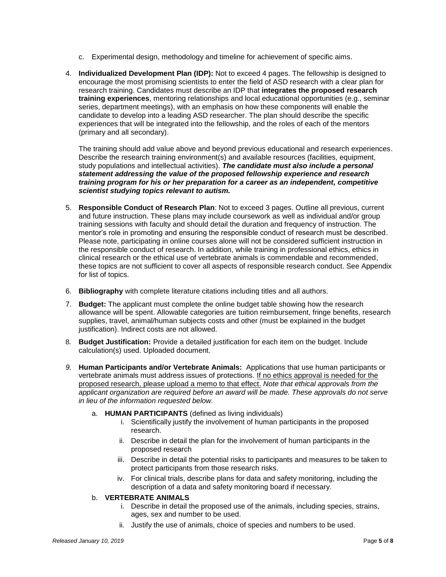- c. Experimental design, methodology and timeline for achievement of specific aims.
- 4. **Individualized Development Plan (IDP):** Not to exceed 4 pages. The fellowship is designed to encourage the most promising scientists to enter the field of ASD research with a clear plan for research training. Candidates must describe an IDP that **integrates the proposed research training experiences**, mentoring relationships and local educational opportunities (e.g., seminar series, department meetings), with an emphasis on how these components will enable the candidate to develop into a leading ASD researcher. The plan should describe the specific experiences that will be integrated into the fellowship, and the roles of each of the mentors (primary and all secondary).

The training should add value above and beyond previous educational and research experiences. Describe the research training environment(s) and available resources (facilities, equipment, study populations and intellectual activities). *The candidate must also include a personal statement addressing the value of the proposed fellowship experience and research training program for his or her preparation for a career as an independent, competitive scientist studying topics relevant to autism.*

- 5. **Responsible Conduct of Research Plan**: Not to exceed 3 pages. Outline all previous, current and future instruction. These plans may include coursework as well as individual and/or group training sessions with faculty and should detail the duration and frequency of instruction. The mentor's role in promoting and ensuring the responsible conduct of research must be described. Please note, participating in online courses alone will not be considered sufficient instruction in the responsible conduct of research. In addition, while training in professional ethics, ethics in clinical research or the ethical use of vertebrate animals is commendable and recommended, these topics are not sufficient to cover all aspects of responsible research conduct. See Appendix for list of topics.
- 6. **Bibliography** with complete literature citations including titles and all authors.
- 7. **Budget:** The applicant must complete the online budget table showing how the research allowance will be spent. Allowable categories are tuition reimbursement, fringe benefits, research supplies, travel, animal/human subjects costs and other (must be explained in the budget justification). Indirect costs are not allowed.
- 8. **Budget Justification:** Provide a detailed justification for each item on the budget. Include calculation(s) used. Uploaded document.
- *9.* **Human Participants and/or Vertebrate Animals:** Applications that use human participants or vertebrate animals must address issues of protections. If no ethics approval is needed for the proposed research, please upload a memo to that effect. *Note that ethical approvals from the applicant organization are required before an award will be made. These approvals do not serve in lieu of the information requested below.*
	- a. **HUMAN PARTICIPANTS** (defined as living individuals)
		- i. Scientifically justify the involvement of human participants in the proposed research.
		- ii. Describe in detail the plan for the involvement of human participants in the proposed research
		- iii. Describe in detail the potential risks to participants and measures to be taken to protect participants from those research risks.
		- iv. For clinical trials, describe plans for data and safety monitoring, including the description of a data and safety monitoring board if necessary.

# b. **VERTEBRATE ANIMALS**

- i. Describe in detail the proposed use of the animals, including species, strains, ages, sex and number to be used.
- ii. Justify the use of animals, choice of species and numbers to be used.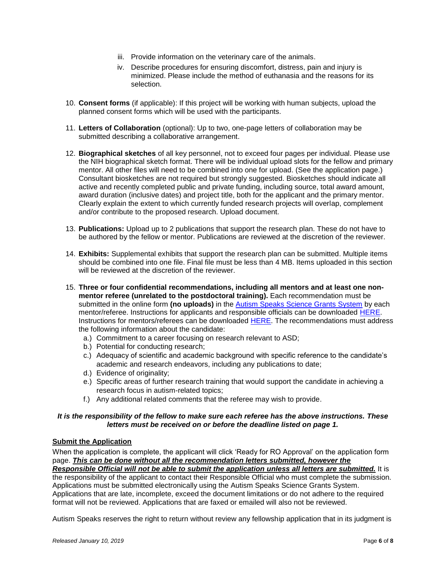- iii. Provide information on the veterinary care of the animals.
- iv. Describe procedures for ensuring discomfort, distress, pain and injury is minimized. Please include the method of euthanasia and the reasons for its selection.
- 10. **Consent forms** (if applicable): If this project will be working with human subjects, upload the planned consent forms which will be used with the participants.
- 11. **Letters of Collaboration** (optional): Up to two, one-page letters of collaboration may be submitted describing a collaborative arrangement.
- 12. **Biographical sketches** of all key personnel, not to exceed four pages per individual. Please use the NIH biographical sketch format. There will be individual upload slots for the fellow and primary mentor. All other files will need to be combined into one for upload. (See the application page.) Consultant biosketches are not required but strongly suggested. Biosketches should indicate all active and recently completed public and private funding, including source, total award amount, award duration (inclusive dates) and project title, both for the applicant and the primary mentor. Clearly explain the extent to which currently funded research projects will overlap, complement and/or contribute to the proposed research. Upload document.
- 13. **Publications:** Upload up to 2 publications that support the research plan. These do not have to be authored by the fellow or mentor. Publications are reviewed at the discretion of the reviewer.
- 14. **Exhibits:** Supplemental exhibits that support the research plan can be submitted. Multiple items should be combined into one file. Final file must be less than 4 MB. Items uploaded in this section will be reviewed at the discretion of the reviewer.
- 15. **Three or four confidential recommendations, including all mentors and at least one nonmentor referee (unrelated to the postdoctoral training).** Each recommendation must be submitted in the online form **(no uploads)** in the [Autism Speaks Science Grants System](https://science.grants.autismspeaks.org/) by each mentor/referee. Instructions for applicants and responsible officials can be downloaded [HERE.](https://science.grants.autismspeaks.org/uploads/helpdocs/lor_guide_applicants__ros.pdf) Instructions for mentors/referees can be downloaded [HERE.](https://science.grants.autismspeaks.org/uploads/helpdocs/lor_guide_referees.pdf) The recommendations must address the following information about the candidate:
	- a.) Commitment to a career focusing on research relevant to ASD;
	- b.) Potential for conducting research;
	- c.) Adequacy of scientific and academic background with specific reference to the candidate's academic and research endeavors, including any publications to date;
	- d.) Evidence of originality;
	- e.) Specific areas of further research training that would support the candidate in achieving a research focus in autism-related topics;
	- f.) Any additional related comments that the referee may wish to provide.

# *It is the responsibility of the fellow to make sure each referee has the above instructions. These letters must be received on or before the deadline listed on page 1.*

## **Submit the Application**

When the application is complete, the applicant will click 'Ready for RO Approval' on the application form page. *This can be done without all the recommendation letters submitted, however the* 

*Responsible Official will not be able to submit the application unless all letters are submitted.* It is the responsibility of the applicant to contact their Responsible Official who must complete the submission. Applications must be submitted electronically using the Autism Speaks Science Grants System. Applications that are late, incomplete, exceed the document limitations or do not adhere to the required format will not be reviewed. Applications that are faxed or emailed will also not be reviewed.

Autism Speaks reserves the right to return without review any fellowship application that in its judgment is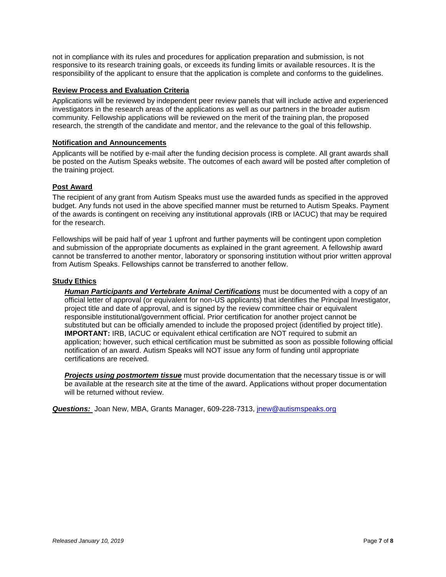not in compliance with its rules and procedures for application preparation and submission, is not responsive to its research training goals, or exceeds its funding limits or available resources. It is the responsibility of the applicant to ensure that the application is complete and conforms to the guidelines.

## **Review Process and Evaluation Criteria**

Applications will be reviewed by independent peer review panels that will include active and experienced investigators in the research areas of the applications as well as our partners in the broader autism community. Fellowship applications will be reviewed on the merit of the training plan, the proposed research, the strength of the candidate and mentor, and the relevance to the goal of this fellowship.

## **Notification and Announcements**

Applicants will be notified by e-mail after the funding decision process is complete. All grant awards shall be posted on the Autism Speaks website. The outcomes of each award will be posted after completion of the training project.

# **Post Award**

The recipient of any grant from Autism Speaks must use the awarded funds as specified in the approved budget. Any funds not used in the above specified manner must be returned to Autism Speaks. Payment of the awards is contingent on receiving any institutional approvals (IRB or IACUC) that may be required for the research.

Fellowships will be paid half of year 1 upfront and further payments will be contingent upon completion and submission of the appropriate documents as explained in the grant agreement. A fellowship award cannot be transferred to another mentor, laboratory or sponsoring institution without prior written approval from Autism Speaks. Fellowships cannot be transferred to another fellow.

## **Study Ethics**

*Human Participants and Vertebrate Animal Certifications* must be documented with a copy of an official letter of approval (or equivalent for non-US applicants) that identifies the Principal Investigator, project title and date of approval, and is signed by the review committee chair or equivalent responsible institutional/government official. Prior certification for another project cannot be substituted but can be officially amended to include the proposed project (identified by project title). **IMPORTANT:** IRB, IACUC or equivalent ethical certification are NOT required to submit an application; however, such ethical certification must be submitted as soon as possible following official notification of an award. Autism Speaks will NOT issue any form of funding until appropriate certifications are received.

*Projects using postmortem tissue* must provide documentation that the necessary tissue is or will be available at the research site at the time of the award. Applications without proper documentation will be returned without review.

*Questions:* Joan New, MBA, Grants Manager, 609-228-7313, *[jnew@autismspeaks.org](mailto:jnew@autismspeaks.org)*